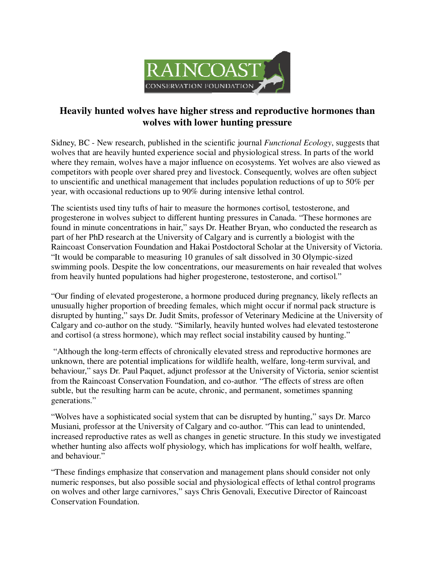

## **Heavily hunted wolves have higher stress and reproductive hormones than wolves with lower hunting pressure**

Sidney, BC - New research, published in the scientific journal *Functional Ecology*, suggests that wolves that are heavily hunted experience social and physiological stress. In parts of the world where they remain, wolves have a major influence on ecosystems. Yet wolves are also viewed as competitors with people over shared prey and livestock. Consequently, wolves are often subject to unscientific and unethical management that includes population reductions of up to 50% per year, with occasional reductions up to 90% during intensive lethal control.

The scientists used tiny tufts of hair to measure the hormones cortisol, testosterone, and progesterone in wolves subject to different hunting pressures in Canada. "These hormones are found in minute concentrations in hair," says Dr. Heather Bryan, who conducted the research as part of her PhD research at the University of Calgary and is currently a biologist with the Raincoast Conservation Foundation and Hakai Postdoctoral Scholar at the University of Victoria. "It would be comparable to measuring 10 granules of salt dissolved in 30 Olympic-sized swimming pools. Despite the low concentrations, our measurements on hair revealed that wolves from heavily hunted populations had higher progesterone, testosterone, and cortisol."

"Our finding of elevated progesterone, a hormone produced during pregnancy, likely reflects an unusually higher proportion of breeding females, which might occur if normal pack structure is disrupted by hunting," says Dr. Judit Smits, professor of Veterinary Medicine at the University of Calgary and co-author on the study. "Similarly, heavily hunted wolves had elevated testosterone and cortisol (a stress hormone), which may reflect social instability caused by hunting."

 "Although the long-term effects of chronically elevated stress and reproductive hormones are unknown, there are potential implications for wildlife health, welfare, long-term survival, and behaviour," says Dr. Paul Paquet, adjunct professor at the University of Victoria, senior scientist from the Raincoast Conservation Foundation, and co-author. "The effects of stress are often subtle, but the resulting harm can be acute, chronic, and permanent, sometimes spanning generations."

"Wolves have a sophisticated social system that can be disrupted by hunting," says Dr. Marco Musiani, professor at the University of Calgary and co-author. "This can lead to unintended, increased reproductive rates as well as changes in genetic structure. In this study we investigated whether hunting also affects wolf physiology, which has implications for wolf health, welfare, and behaviour."

"These findings emphasize that conservation and management plans should consider not only numeric responses, but also possible social and physiological effects of lethal control programs on wolves and other large carnivores," says Chris Genovali, Executive Director of Raincoast Conservation Foundation.